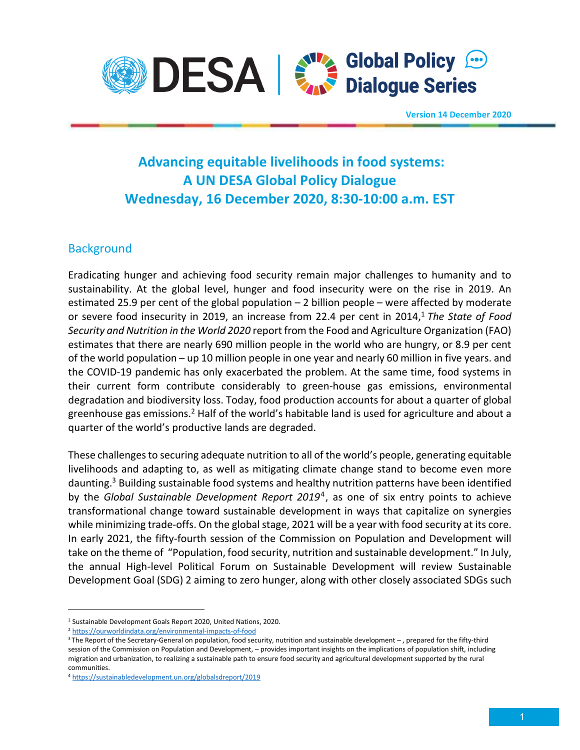

**Version 14 December 2020**

# **Advancing equitable livelihoods in food systems: A UN DESA Global Policy Dialogue Wednesday, 16 December 2020, 8:30-10:00 a.m. EST**

### **Background**

Eradicating hunger and achieving food security remain major challenges to humanity and to sustainability. At the global level, hunger and food insecurity were on the rise in 2019. An estimated 25.9 per cent of the global population – 2 billion people – were affected by moderate or severe food insecurity in 2019, an increase from 22.4 per cent in 2014,<sup>1</sup> *The State of Food Security and Nutrition in the World 2020* report from the Food and Agriculture Organization (FAO) estimates that there are nearly 690 million people in the world who are hungry, or 8.9 per cent of the world population – up 10 million people in one year and nearly 60 million in five years. and the COVID-19 pandemic has only exacerbated the problem. At the same time, food systems in their current form contribute considerably to green-house gas emissions, environmental degradation and biodiversity loss. Today, food production accounts for about a quarter of global greenhouse gas emissions.<sup>2</sup> Half of the world's habitable land is used for agriculture and about a quarter of the world's productive lands are degraded.

These challenges to securing adequate nutrition to all of the world's people, generating equitable livelihoods and adapting to, as well as mitigating climate change stand to become even more daunting.<sup>3</sup> Building sustainable food systems and healthy nutrition patterns have been identified by the *Global Sustainable Development Report 2019*<sup>4</sup> , as one of six entry points to achieve transformational change toward sustainable development in ways that capitalize on synergies while minimizing trade-offs. On the global stage, 2021 will be a year with food security at its core. In early 2021, the fifty-fourth session of the Commission on Population and Development will take on the theme of "Population, food security, nutrition and sustainable development." In July, the annual High-level Political Forum on Sustainable Development will review Sustainable Development Goal (SDG) 2 aiming to zero hunger, along with other closely associated SDGs such

<sup>&</sup>lt;sup>1</sup> Sustainable Development Goals Report 2020, United Nations, 2020.

<sup>2</sup> https://ourworldindata.org/environmental-impacts-of-food

<sup>&</sup>lt;sup>3</sup>The Report of the Secretary-General on population, food security, nutrition and sustainable development –, prepared for the fifty-third session of the Commission on Population and Development, – provides important insights on the implications of population shift, including migration and urbanization, to realizing a sustainable path to ensure food security and agricultural development supported by the rural communities.

<sup>4</sup> https://sustainabledevelopment.un.org/globalsdreport/2019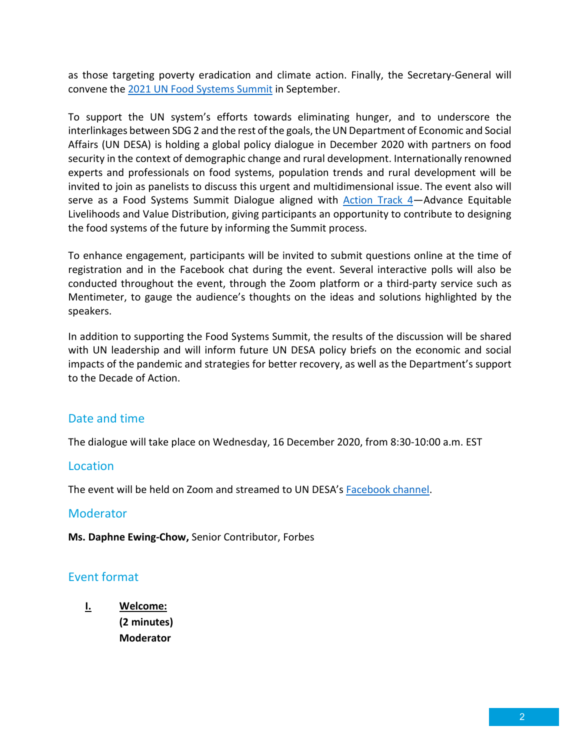as those targeting poverty eradication and climate action. Finally, the Secretary-General will convene the 2021 UN Food Systems Summit in September.

To support the UN system's efforts towards eliminating hunger, and to underscore the interlinkages between SDG 2 and the rest of the goals, the UN Department of Economic and Social Affairs (UN DESA) is holding a global policy dialogue in December 2020 with partners on food security in the context of demographic change and rural development. Internationally renowned experts and professionals on food systems, population trends and rural development will be invited to join as panelists to discuss this urgent and multidimensional issue. The event also will serve as a Food Systems Summit Dialogue aligned with Action Track 4—Advance Equitable Livelihoods and Value Distribution, giving participants an opportunity to contribute to designing the food systems of the future by informing the Summit process.

To enhance engagement, participants will be invited to submit questions online at the time of registration and in the Facebook chat during the event. Several interactive polls will also be conducted throughout the event, through the Zoom platform or a third-party service such as Mentimeter, to gauge the audience's thoughts on the ideas and solutions highlighted by the speakers.

In addition to supporting the Food Systems Summit, the results of the discussion will be shared with UN leadership and will inform future UN DESA policy briefs on the economic and social impacts of the pandemic and strategies for better recovery, as well as the Department's support to the Decade of Action.

## Date and time

The dialogue will take place on Wednesday, 16 December 2020, from 8:30-10:00 a.m. EST

#### Location

The event will be held on Zoom and streamed to UN DESA's Facebook channel.

#### **Moderator**

**Ms. Daphne Ewing-Chow,** Senior Contributor, Forbes

#### Event format

**I. Welcome: (2 minutes) Moderator**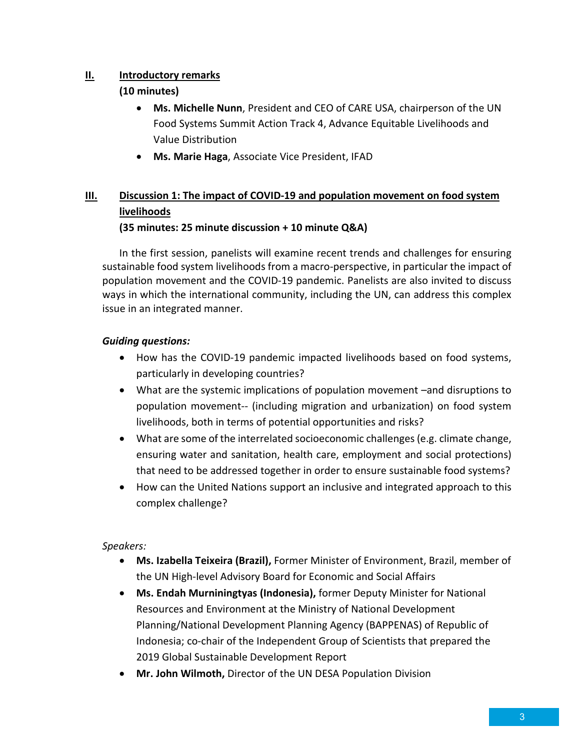#### **II. Introductory remarks**

#### **(10 minutes)**

- **Ms. Michelle Nunn**, President and CEO of CARE USA, chairperson of the UN Food Systems Summit Action Track 4, Advance Equitable Livelihoods and Value Distribution
- **Ms. Marie Haga**, Associate Vice President, IFAD

## **III. Discussion 1: The impact of COVID-19 and population movement on food system livelihoods**

#### **(35 minutes: 25 minute discussion + 10 minute Q&A)**

In the first session, panelists will examine recent trends and challenges for ensuring sustainable food system livelihoods from a macro-perspective, in particular the impact of population movement and the COVID-19 pandemic. Panelists are also invited to discuss ways in which the international community, including the UN, can address this complex issue in an integrated manner.

#### *Guiding questions:*

- How has the COVID-19 pandemic impacted livelihoods based on food systems, particularly in developing countries?
- What are the systemic implications of population movement –and disruptions to population movement-- (including migration and urbanization) on food system livelihoods, both in terms of potential opportunities and risks?
- What are some of the interrelated socioeconomic challenges (e.g. climate change, ensuring water and sanitation, health care, employment and social protections) that need to be addressed together in order to ensure sustainable food systems?
- How can the United Nations support an inclusive and integrated approach to this complex challenge?

#### *Speakers:*

- **Ms. Izabella Teixeira (Brazil),** Former Minister of Environment, Brazil, member of the UN High-level Advisory Board for Economic and Social Affairs
- **Ms. Endah Murniningtyas (Indonesia),** former Deputy Minister for National Resources and Environment at the Ministry of National Development Planning/National Development Planning Agency (BAPPENAS) of Republic of Indonesia; co-chair of the Independent Group of Scientists that prepared the 2019 Global Sustainable Development Report
- **Mr. John Wilmoth,** Director of the UN DESA Population Division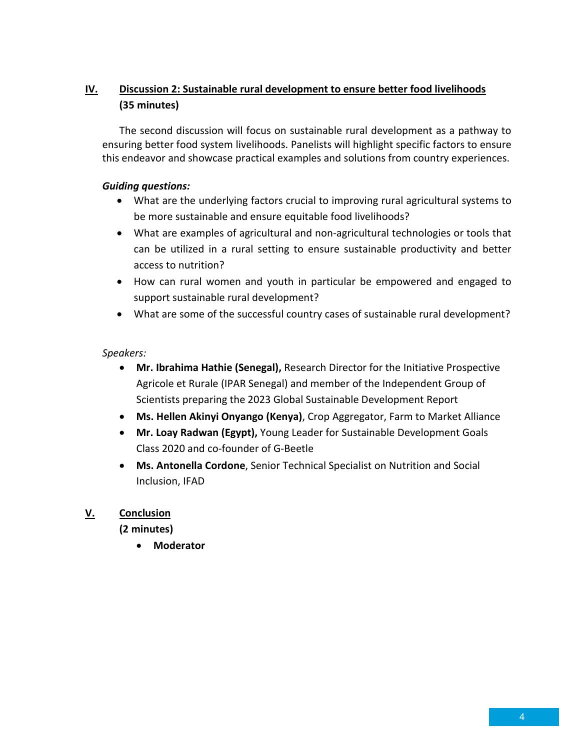## **IV. Discussion 2: Sustainable rural development to ensure better food livelihoods (35 minutes)**

The second discussion will focus on sustainable rural development as a pathway to ensuring better food system livelihoods. Panelists will highlight specific factors to ensure this endeavor and showcase practical examples and solutions from country experiences.

#### *Guiding questions:*

- What are the underlying factors crucial to improving rural agricultural systems to be more sustainable and ensure equitable food livelihoods?
- What are examples of agricultural and non-agricultural technologies or tools that can be utilized in a rural setting to ensure sustainable productivity and better access to nutrition?
- How can rural women and youth in particular be empowered and engaged to support sustainable rural development?
- What are some of the successful country cases of sustainable rural development?

#### *Speakers:*

- **Mr. Ibrahima Hathie (Senegal),** Research Director for the Initiative Prospective Agricole et Rurale (IPAR Senegal) and member of the Independent Group of Scientists preparing the 2023 Global Sustainable Development Report
- **Ms. Hellen Akinyi Onyango (Kenya)**, Crop Aggregator, Farm to Market Alliance
- **Mr. Loay Radwan (Egypt),** Young Leader for Sustainable Development Goals Class 2020 and co-founder of G-Beetle
- **Ms. Antonella Cordone**, Senior Technical Specialist on Nutrition and Social Inclusion, IFAD

#### **V. Conclusion**

**(2 minutes)** 

**Moderator**